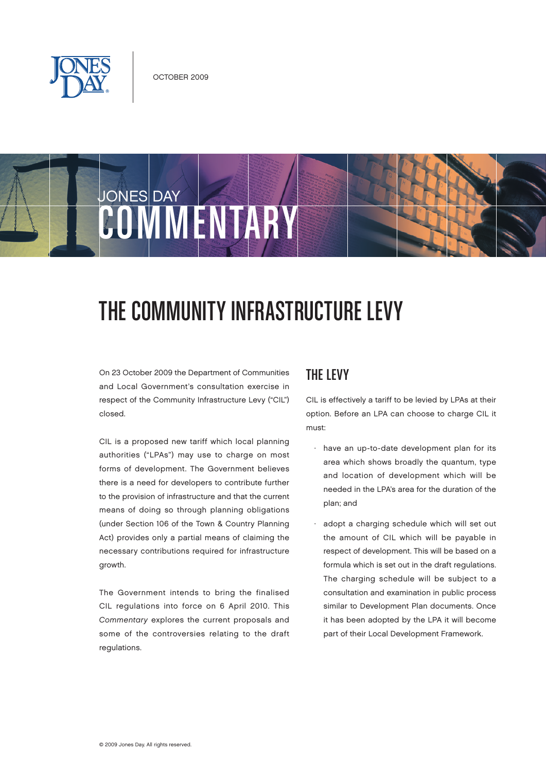

# **JONES DAY** COMMUNISMS

# The Community Infrastructure Levy

On 23 October 2009 the Department of Communities and Local Government's consultation exercise in respect of the Community Infrastructure Levy ("CIL") closed.

CIL is a proposed new tariff which local planning authorities ("LPAs") may use to charge on most forms of development. The Government believes there is a need for developers to contribute further to the provision of infrastructure and that the current means of doing so through planning obligations (under Section 106 of the Town & Country Planning Act) provides only a partial means of claiming the necessary contributions required for infrastructure growth.

The Government intends to bring the finalised CIL regulations into force on 6 April 2010. This Commentary explores the current proposals and some of the controversies relating to the draft regulations.

#### The Levy

CIL is effectively a tariff to be levied by LPAs at their option. Before an LPA can choose to charge CIL it must:

- have an up-to-date development plan for its area which shows broadly the quantum, type and location of development which will be needed in the LPA's area for the duration of the plan; and
- adopt a charging schedule which will set out the amount of CIL which will be payable in respect of development. This will be based on a formula which is set out in the draft regulations. The charging schedule will be subject to a consultation and examination in public process similar to Development Plan documents. Once it has been adopted by the LPA it will become part of their Local Development Framework.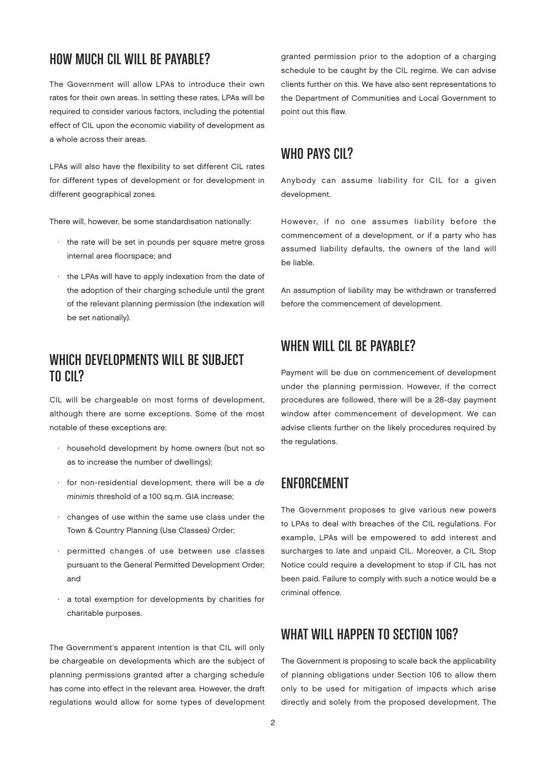### HOW MUCH CIL WILL BE PAYARI F?

The Government will allow LPAs to introduce their own rates for their own areas. In setting these rates, LPAs will be required to consider various factors, including the potential effect of CIL upon the economic viability of development as a whole across their areas.

LPAs will also have the flexibility to set different CIL rates for different types of development or for development in different geographical zones.

There will, however, be some standardisation nationally:

- · the rate will be set in pounds per square metre gross internal area floorspace; and
- · the LPAs will have to apply indexation from the date of the adoption of their charging schedule until the grant of the relevant planning permission (the indexation will be set nationally).

#### WHICH DEVELOPMENTS WILL BE SUBJECT to CIL?

CIL will be chargeable on most forms of development, although there are some exceptions. Some of the most notable of these exceptions are:

- · household development by home owners (but not so as to increase the number of dwellings);
- · for non-residential development, there will be a de minimis threshold of a 100 sq.m. GIA increase;
- · changes of use within the same use class under the Town & Country Planning (Use Classes) Order;
- permitted changes of use between use classes pursuant to the General Permitted Development Order; and
- · a total exemption for developments by charities for charitable purposes.

The Government's apparent intention is that CIL will only be chargeable on developments which are the subject of planning permissions granted after a charging schedule has come into effect in the relevant area. However, the draft regulations would allow for some types of development granted permission prior to the adoption of a charging schedule to be caught by the CIL regime. We can advise clients further on this. We have also sent representations to the Department of Communities and Local Government to point out this flaw.

#### WHO PAYS CIL?

Anybody can assume liability for CIL for a given development.

However, if no one assumes liability before the commencement of a development, or if a party who has assumed liability defaults, the owners of the land will be liable.

An assumption of liability may be withdrawn or transferred before the commencement of development.

#### WHEN WILL CIL BE PAYABLE?

Payment will be due on commencement of development under the planning permission. However, if the correct procedures are followed, there will be a 28-day payment window after commencement of development. We can advise clients further on the likely procedures required by the regulations.

#### **ENFORCEMENT**

The Government proposes to give various new powers to LPAs to deal with breaches of the CIL regulations. For example, LPAs will be empowered to add interest and surcharges to late and unpaid CIL. Moreover, a CIL Stop Notice could require a development to stop if CIL has not been paid. Failure to comply with such a notice would be a criminal offence.

#### WHAT WILL HAPPEN TO SECTION 106?

The Government is proposing to scale back the applicability of planning obligations under Section 106 to allow them only to be used for mitigation of impacts which arise directly and solely from the proposed development. The